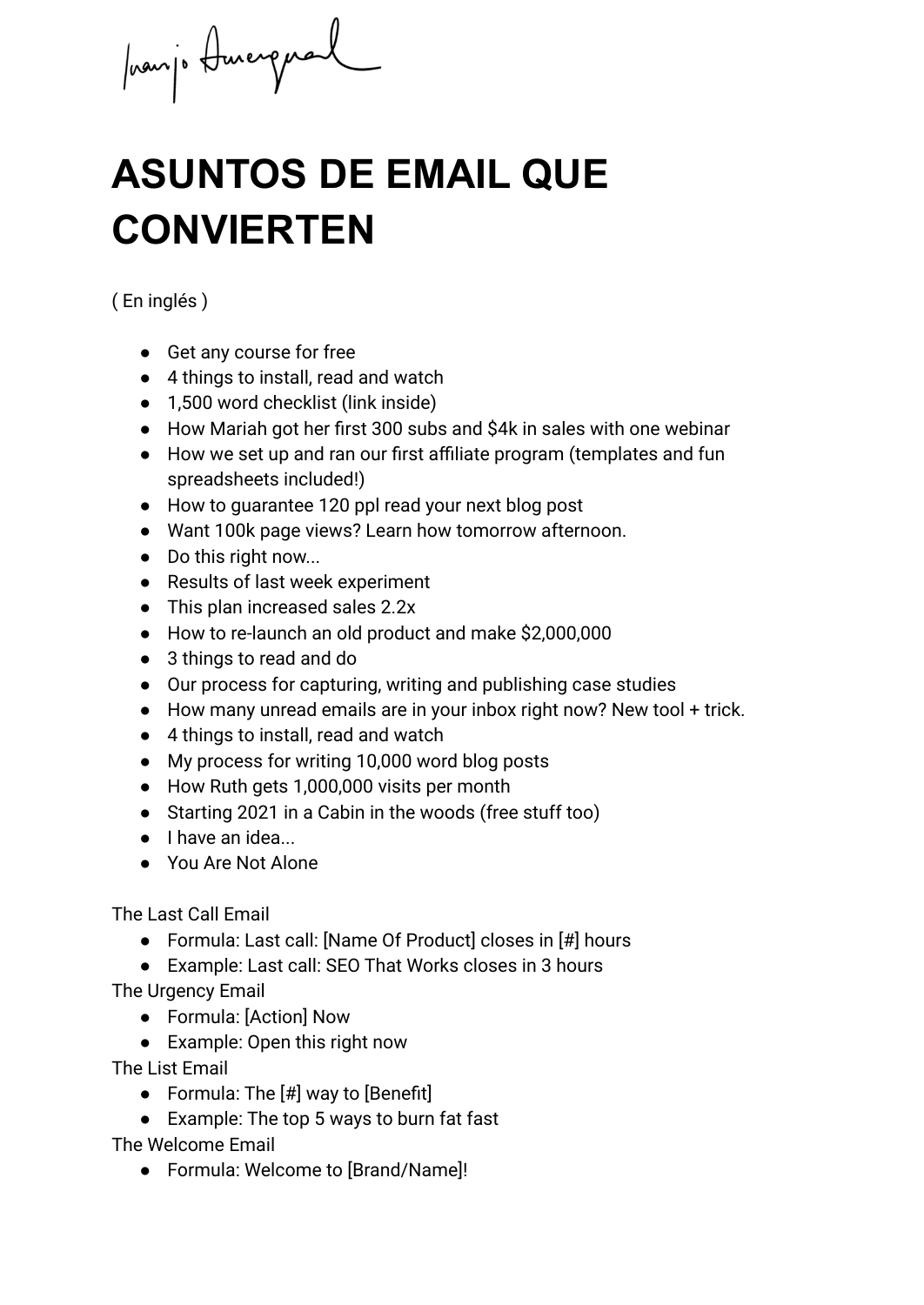prompt durcressed

## **ASUNTOS DE EMAIL QUE CONVIERTEN**

( En inglés )

- Get any course for free
- 4 things to install, read and watch
- 1,500 word checklist (link inside)
- How Mariah got her first 300 subs and \$4k in sales with one webinar
- How we set up and ran our first affiliate program (templates and fun spreadsheets included!)
- How to guarantee 120 ppl read your next blog post
- Want 100k page views? Learn how tomorrow afternoon.
- Do this right now...
- Results of last week experiment
- This plan increased sales 2.2x
- How to re-launch an old product and make \$2,000,000
- 3 things to read and do
- Our process for capturing, writing and publishing case studies
- How many unread emails are in your inbox right now? New tool + trick.
- 4 things to install, read and watch
- My process for writing 10,000 word blog posts
- How Ruth gets 1,000,000 visits per month
- Starting 2021 in a Cabin in the woods (free stuff too)
- I have an idea...
- You Are Not Alone

The Last Call Email

- Formula: Last call: [Name Of Product] closes in [#] hours
- Example: Last call: SEO That Works closes in 3 hours

The Urgency Email

- Formula: [Action] Now
- Example: Open this right now

The List Email

- Formula: The  $[#]$  way to [Benefit]
- Example: The top 5 ways to burn fat fast

The Welcome Email

● Formula: Welcome to [Brand/Name]!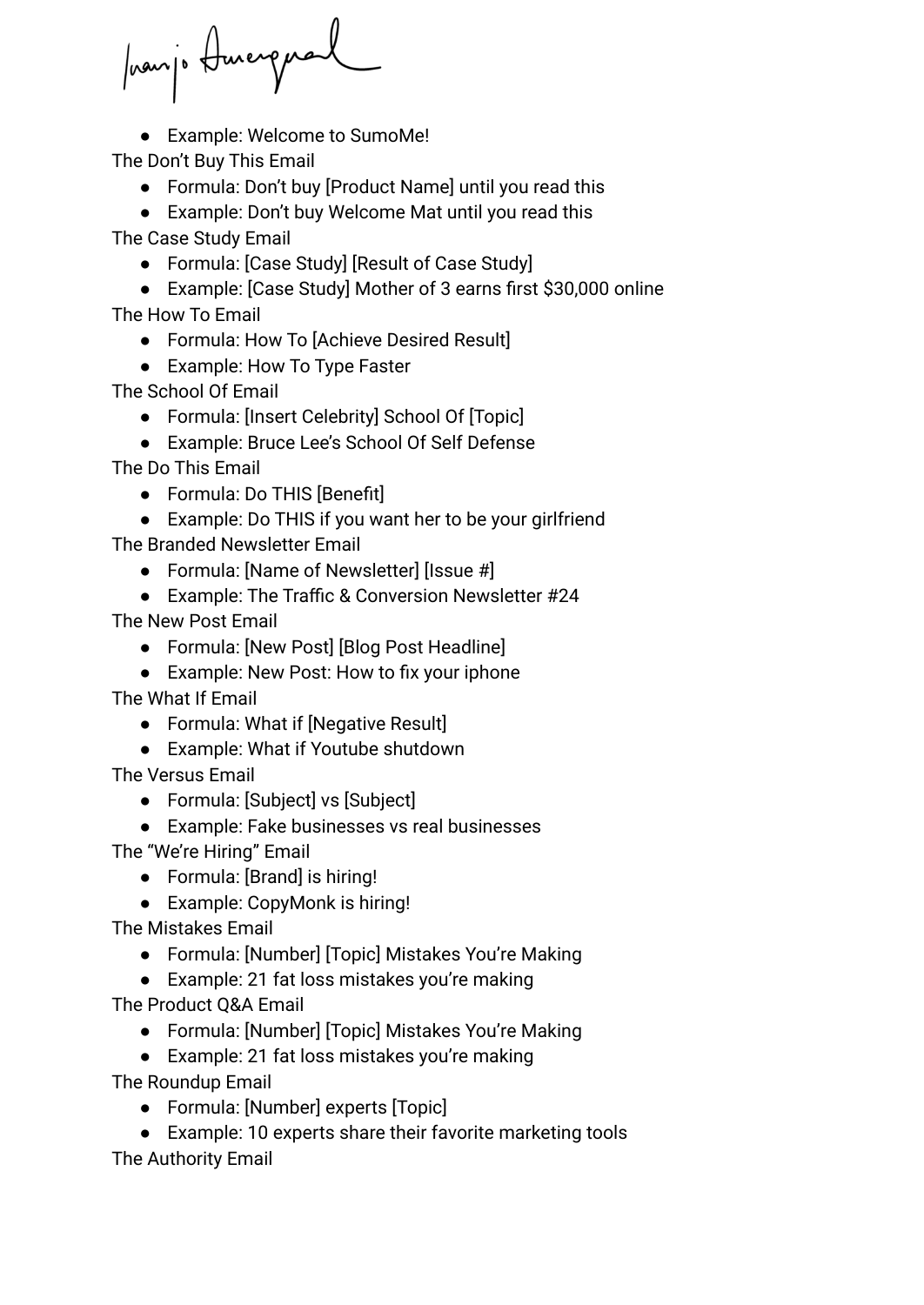panjo Amergual

● Example: Welcome to SumoMe!

The Don't Buy This Email

- Formula: Don't buy [Product Name] until you read this
- Example: Don't buy Welcome Mat until you read this

The Case Study Email

● Formula: [Case Study] [Result of Case Study]

● Example: [Case Study] Mother of 3 earns first \$30,000 online The How To Email

- Formula: How To [Achieve Desired Result]
- Example: How To Type Faster

The School Of Email

- Formula: [Insert Celebrity] School Of [Topic]
- Example: Bruce Lee's School Of Self Defense

The Do This Email

- Formula: Do THIS [Benefit]
- Example: Do THIS if you want her to be your girlfriend

The Branded Newsletter Email

- Formula: [Name of Newsletter] [Issue #]
- Example: The Traffic & Conversion Newsletter #24

The New Post Email

- Formula: [New Post] [Blog Post Headline]
- Example: New Post: How to fix your iphone

The What If Email

- Formula: What if [Negative Result]
- Example: What if Youtube shutdown

The Versus Email

- Formula: [Subject] vs [Subject]
- Example: Fake businesses vs real businesses

The "We're Hiring" Email

- Formula: [Brand] is hiring!
- Example: CopyMonk is hiring!

The Mistakes Email

- Formula: [Number] [Topic] Mistakes You're Making
- Example: 21 fat loss mistakes you're making

The Product Q&A Email

- Formula: [Number] [Topic] Mistakes You're Making
- Example: 21 fat loss mistakes you're making

The Roundup Email

- Formula: [Number] experts [Topic]
- Example: 10 experts share their favorite marketing tools

The Authority Email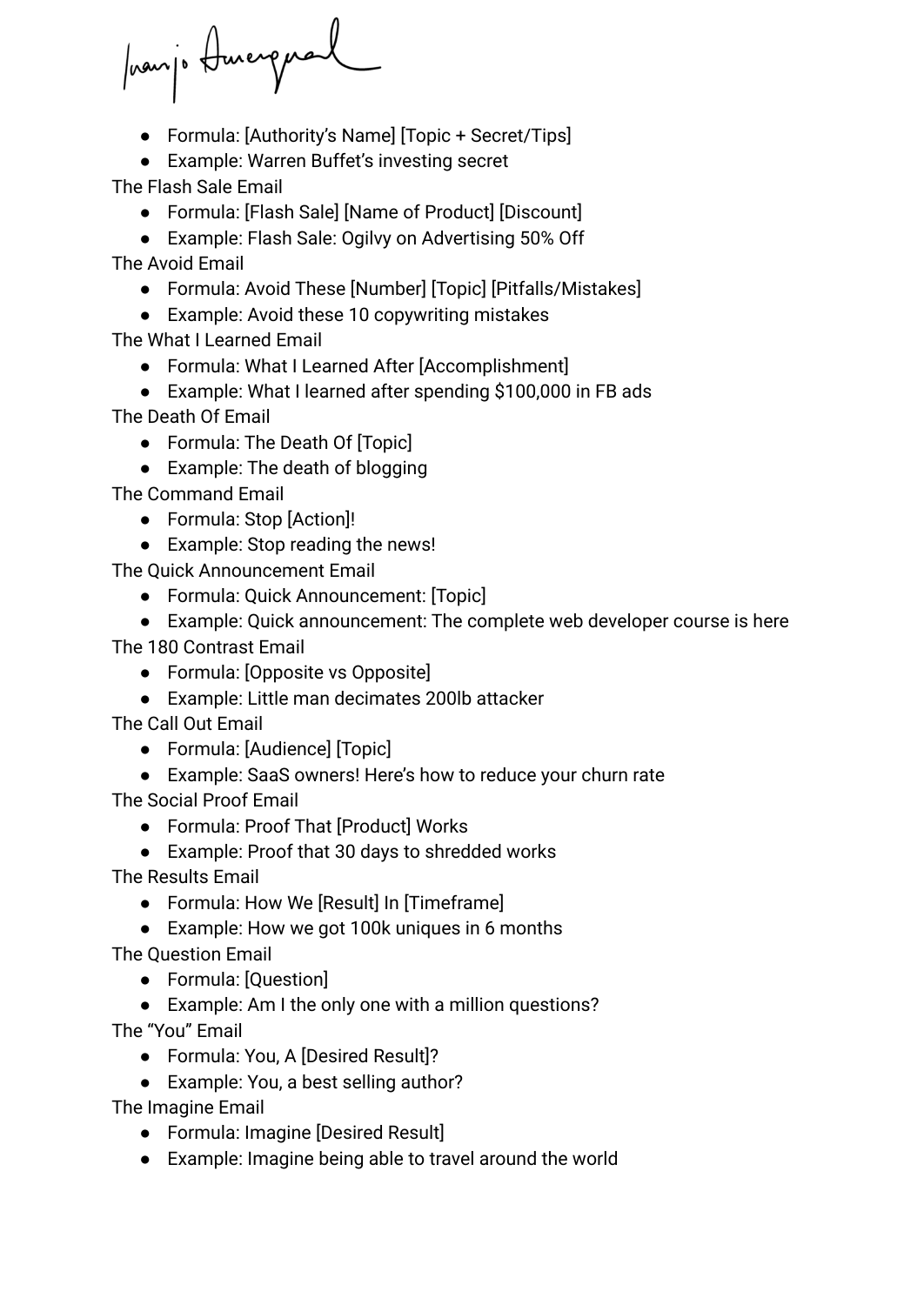promje Amergual

● Formula: [Authority's Name] [Topic + Secret/Tips]

● Example: Warren Buffet's investing secret

The Flash Sale Email

- Formula: [Flash Sale] [Name of Product] [Discount]
- Example: Flash Sale: Ogilvy on Advertising 50% Off

The Avoid Email

- Formula: Avoid These [Number] [Topic] [Pitfalls/Mistakes]
- Example: Avoid these 10 copywriting mistakes

The What I Learned Email

- Formula: What I Learned After [Accomplishment]
- Example: What I learned after spending \$100,000 in FB ads The Death Of Email
	- Formula: The Death Of [Topic]
	- Example: The death of blogging

The Command Email

- Formula: Stop [Action]!
- Example: Stop reading the news!

The Quick Announcement Email

- Formula: Quick Announcement: [Topic]
- Example: Quick announcement: The complete web developer course is here

The 180 Contrast Email

- Formula: [Opposite vs Opposite]
- Example: Little man decimates 200lb attacker

The Call Out Email

- Formula: [Audience] [Topic]
- Example: SaaS owners! Here's how to reduce your churn rate

The Social Proof Email

- Formula: Proof That [Product] Works
- Example: Proof that 30 days to shredded works

The Results Email

- Formula: How We [Result] In [Timeframe]
- Example: How we got 100k uniques in 6 months

The Question Email

- Formula: [Question]
- Example: Am I the only one with a million questions?

The "You" Email

- Formula: You, A [Desired Result]?
- Example: You, a best selling author?

The Imagine Email

- Formula: Imagine [Desired Result]
- Example: Imagine being able to travel around the world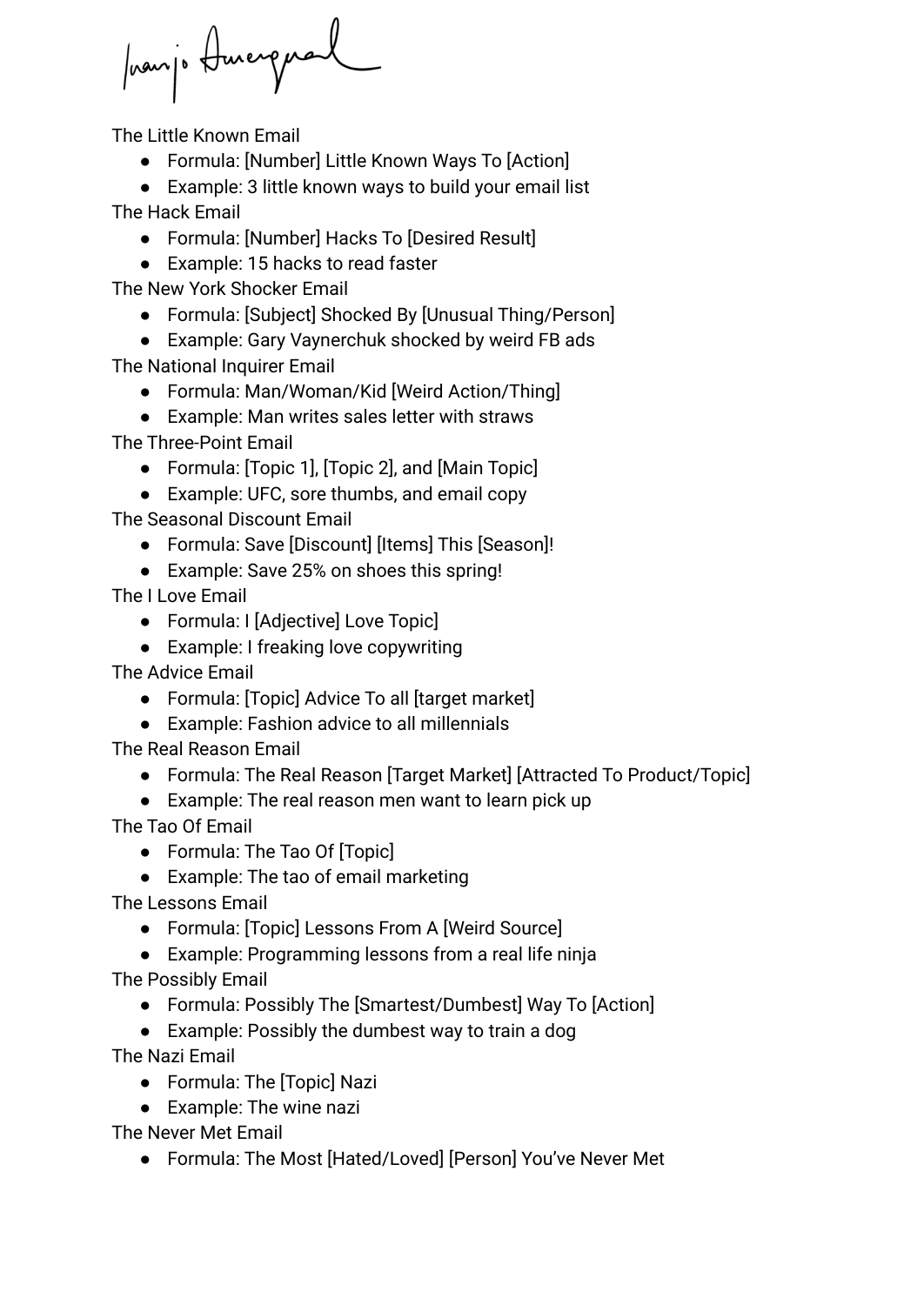promp Amergral

The Little Known Email

- Formula: [Number] Little Known Ways To [Action]
- Example: 3 little known ways to build your email list

The Hack Email

- Formula: [Number] Hacks To [Desired Result]
- Example: 15 hacks to read faster

The New York Shocker Email

- Formula: [Subject] Shocked By [Unusual Thing/Person]
- Example: Gary Vaynerchuk shocked by weird FB ads

The National Inquirer Email

- Formula: Man/Woman/Kid [Weird Action/Thing]
- Example: Man writes sales letter with straws

The Three-Point Email

- Formula: [Topic 1], [Topic 2], and [Main Topic]
- Example: UFC, sore thumbs, and email copy

The Seasonal Discount Email

- Formula: Save [Discount] [Items] This [Season]!
- Example: Save 25% on shoes this spring!

The I Love Email

- Formula: I [Adjective] Love Topic]
- Example: I freaking love copywriting

The Advice Email

- Formula: [Topic] Advice To all [target market]
- Example: Fashion advice to all millennials

The Real Reason Email

- Formula: The Real Reason [Target Market] [Attracted To Product/Topic]
- Example: The real reason men want to learn pick up

The Tao Of Email

- Formula: The Tao Of [Topic]
- Example: The tao of email marketing

The Lessons Email

- Formula: [Topic] Lessons From A [Weird Source]
- Example: Programming lessons from a real life ninja

The Possibly Email

- Formula: Possibly The [Smartest/Dumbest] Way To [Action]
- Example: Possibly the dumbest way to train a dog

The Nazi Email

- Formula: The [Topic] Nazi
- Example: The wine nazi

The Never Met Email

● Formula: The Most [Hated/Loved] [Person] You've Never Met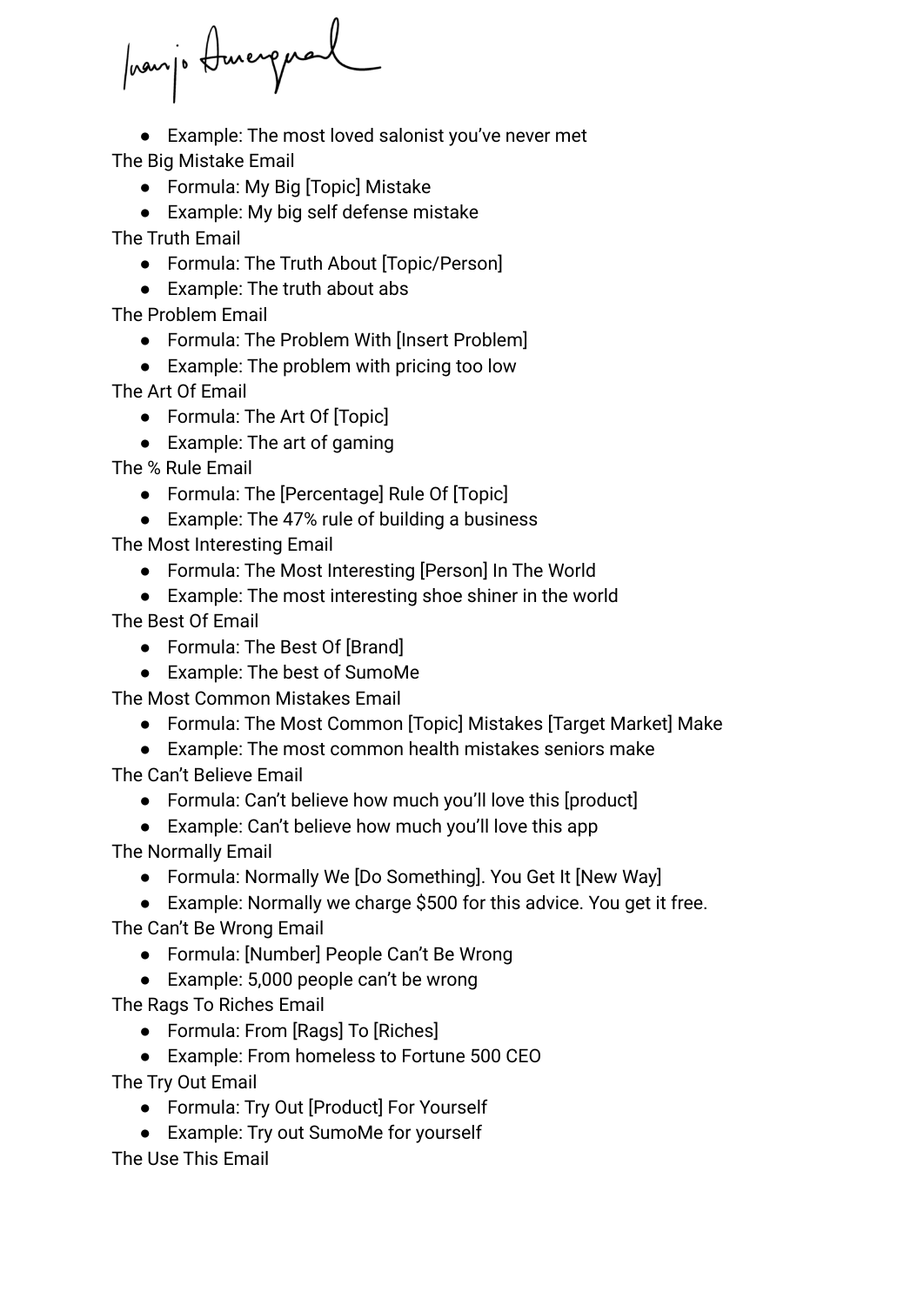prairje Amergual

● Example: The most loved salonist you've never met The Big Mistake Email

● Formula: My Big [Topic] Mistake

● Example: My big self defense mistake

The Truth Email

- Formula: The Truth About [Topic/Person]
- Example: The truth about abs

The Problem Email

- Formula: The Problem With [Insert Problem]
- Example: The problem with pricing too low

The Art Of Email

- Formula: The Art Of [Topic]
- Example: The art of gaming

The % Rule Email

- Formula: The [Percentage] Rule Of [Topic]
- Example: The 47% rule of building a business

The Most Interesting Email

- Formula: The Most Interesting [Person] In The World
- Example: The most interesting shoe shiner in the world

The Best Of Email

- Formula: The Best Of [Brand]
- Example: The best of SumoMe

The Most Common Mistakes Email

- Formula: The Most Common [Topic] Mistakes [Target Market] Make
- Example: The most common health mistakes seniors make The Can't Believe Email
	- Formula: Can't believe how much you'll love this [product]
	- Example: Can't believe how much you'll love this app
- The Normally Email
	- Formula: Normally We [Do Something]. You Get It [New Way]
- Example: Normally we charge \$500 for this advice. You get it free. The Can't Be Wrong Email
	- Formula: [Number] People Can't Be Wrong
	- Example: 5,000 people can't be wrong

The Rags To Riches Email

- Formula: From [Rags] To [Riches]
- Example: From homeless to Fortune 500 CEO

The Try Out Email

- Formula: Try Out [Product] For Yourself
- Example: Try out SumoMe for yourself

The Use This Email